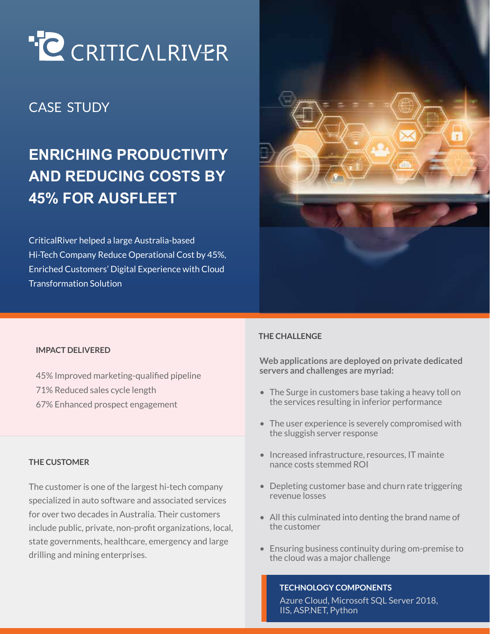

## CASE STUDY

# **ENRICHING PRODUCTIVITY AND REDUCING COSTS BY 45% FOR AUSFLEET**

CriticalRiver helped a large Australia-based Hi-Tech Company Reduce Operational Cost by 45%, Enriched Customers' Digital Experience with Cloud Transformation Solution



#### **IMPACT DELIVERED**

- 45% Improved marketing-qualified pipeline
- 71% Reduced sales cycle length
- 67% Enhanced prospect engagement

#### **THE CUSTOMER**

The customer is one of the largest hi-tech company specialized in auto software and associated services for over two decades in Australia. Their customers include public, private, non-profit organizations, local, state governments, healthcare, emergency and large drilling and mining enterprises.

#### **THE CHALLENGE**

**Web applications are deployed on private dedicated servers and challenges are myriad:** 

- The Surge in customers base taking a heavy toll on the services resulting in inferior performance
- The user experience is severely compromised with the sluggish server response
- Increased infrastructure, resources, IT mainte nance costs stemmed ROI
- Depleting customer base and churn rate triggering revenue losses
- All this culminated into denting the brand name of the customer
- Ensuring business continuity during om-premise to the cloud was a major challenge

#### **TECHNOLOGY COMPONENTS**

Azure Cloud, Microsoft SQL Server 2018, IIS, ASP.NET, Python